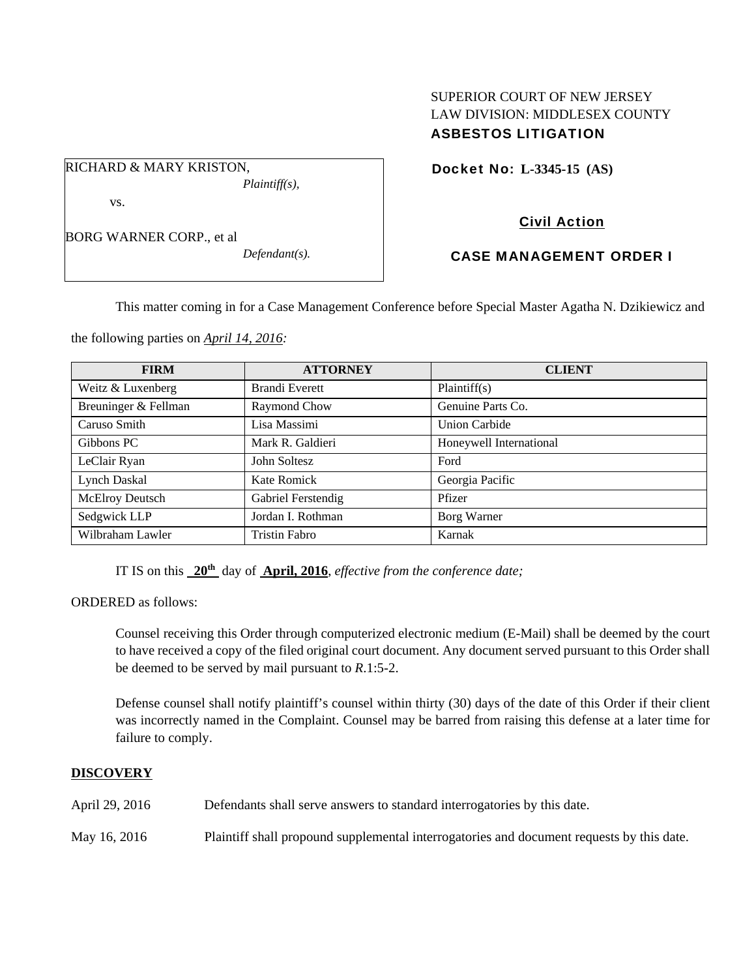## SUPERIOR COURT OF NEW JERSEY LAW DIVISION: MIDDLESEX COUNTY ASBESTOS LITIGATION

Docket No: **L-3345-15 (AS)** 

Civil Action

CASE MANAGEMENT ORDER I

This matter coming in for a Case Management Conference before Special Master Agatha N. Dzikiewicz and

the following parties on *April 14, 2016:* 

| <b>FIRM</b>          | <b>ATTORNEY</b>    | <b>CLIENT</b>           |
|----------------------|--------------------|-------------------------|
| Weitz & Luxenberg    | Brandi Everett     | Plaintiff(s)            |
| Breuninger & Fellman | Raymond Chow       | Genuine Parts Co.       |
| Caruso Smith         | Lisa Massimi       | <b>Union Carbide</b>    |
| Gibbons PC           | Mark R. Galdieri   | Honeywell International |
| LeClair Ryan         | John Soltesz       | Ford                    |
| Lynch Daskal         | Kate Romick        | Georgia Pacific         |
| McElroy Deutsch      | Gabriel Ferstendig | Pfizer                  |
| Sedgwick LLP         | Jordan I. Rothman  | Borg Warner             |
| Wilbraham Lawler     | Tristin Fabro      | Karnak                  |

IT IS on this **20th** day of **April, 2016**, *effective from the conference date;*

ORDERED as follows:

Counsel receiving this Order through computerized electronic medium (E-Mail) shall be deemed by the court to have received a copy of the filed original court document. Any document served pursuant to this Order shall be deemed to be served by mail pursuant to *R*.1:5-2.

Defense counsel shall notify plaintiff's counsel within thirty (30) days of the date of this Order if their client was incorrectly named in the Complaint. Counsel may be barred from raising this defense at a later time for failure to comply.

#### **DISCOVERY**

April 29, 2016 Defendants shall serve answers to standard interrogatories by this date.

May 16, 2016 Plaintiff shall propound supplemental interrogatories and document requests by this date.

# vs.

BORG WARNER CORP., et al

RICHARD & MARY KRISTON,

*Defendant(s).* 

*Plaintiff(s),*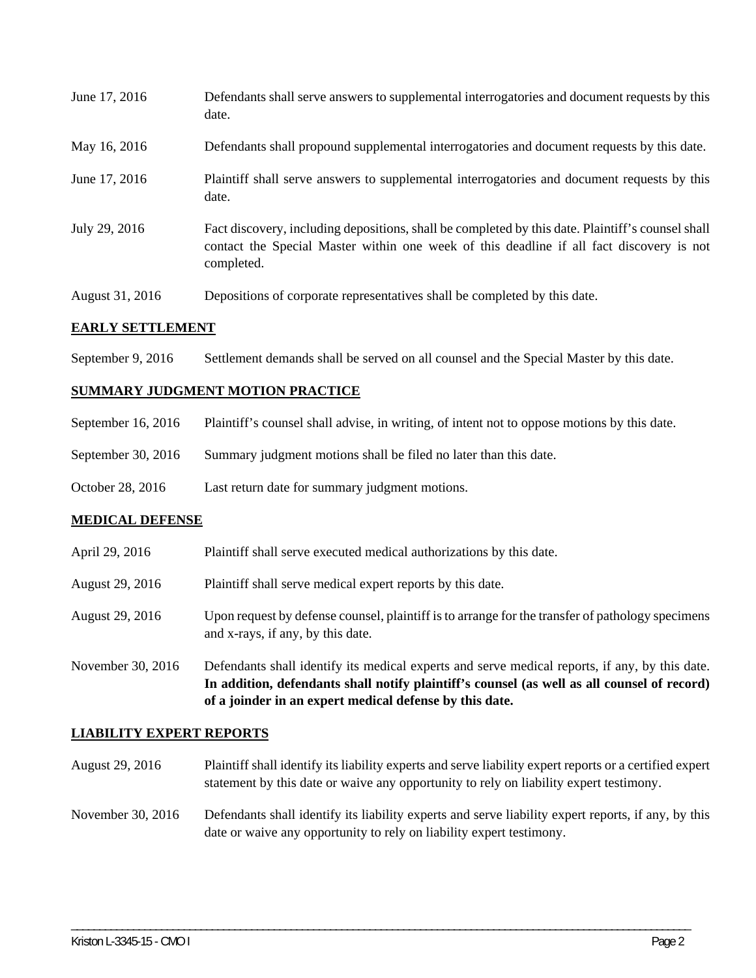| June 17, 2016           | Defendants shall serve answers to supplemental interrogatories and document requests by this<br>date.                                                                                                       |
|-------------------------|-------------------------------------------------------------------------------------------------------------------------------------------------------------------------------------------------------------|
| May 16, 2016            | Defendants shall propound supplemental interrogatories and document requests by this date.                                                                                                                  |
| June 17, 2016           | Plaintiff shall serve answers to supplemental interrogatories and document requests by this<br>date.                                                                                                        |
| July 29, 2016           | Fact discovery, including depositions, shall be completed by this date. Plaintiff's counsel shall<br>contact the Special Master within one week of this deadline if all fact discovery is not<br>completed. |
| August 31, 2016         | Depositions of corporate representatives shall be completed by this date.                                                                                                                                   |
| 8 LBI 17 ABBBY 13 LBIBY |                                                                                                                                                                                                             |

#### **EARLY SETTLEMENT**

September 9, 2016 Settlement demands shall be served on all counsel and the Special Master by this date.

#### **SUMMARY JUDGMENT MOTION PRACTICE**

| September 16, 2016 Plaintiff's counsel shall advise, in writing, of intent not to oppose motions by this date. |  |  |
|----------------------------------------------------------------------------------------------------------------|--|--|

- September 30, 2016 Summary judgment motions shall be filed no later than this date.
- October 28, 2016 Last return date for summary judgment motions.

### **MEDICAL DEFENSE**

|                   | In addition, defendants shall notify plaintiff's counsel (as well as all counsel of record)<br>of a joinder in an expert medical defense by this date. |
|-------------------|--------------------------------------------------------------------------------------------------------------------------------------------------------|
| November 30, 2016 | Defendants shall identify its medical experts and serve medical reports, if any, by this date.                                                         |
| August 29, 2016   | Upon request by defense counsel, plaintiff is to arrange for the transfer of pathology specimens<br>and x-rays, if any, by this date.                  |
| August 29, 2016   | Plaintiff shall serve medical expert reports by this date.                                                                                             |
| April 29, 2016    | Plaintiff shall serve executed medical authorizations by this date.                                                                                    |

#### **LIABILITY EXPERT REPORTS**

- August 29, 2016 Plaintiff shall identify its liability experts and serve liability expert reports or a certified expert statement by this date or waive any opportunity to rely on liability expert testimony.
- November 30, 2016 Defendants shall identify its liability experts and serve liability expert reports, if any, by this date or waive any opportunity to rely on liability expert testimony.

\_\_\_\_\_\_\_\_\_\_\_\_\_\_\_\_\_\_\_\_\_\_\_\_\_\_\_\_\_\_\_\_\_\_\_\_\_\_\_\_\_\_\_\_\_\_\_\_\_\_\_\_\_\_\_\_\_\_\_\_\_\_\_\_\_\_\_\_\_\_\_\_\_\_\_\_\_\_\_\_\_\_\_\_\_\_\_\_\_\_\_\_\_\_\_\_\_\_\_\_\_\_\_\_\_\_\_\_\_\_